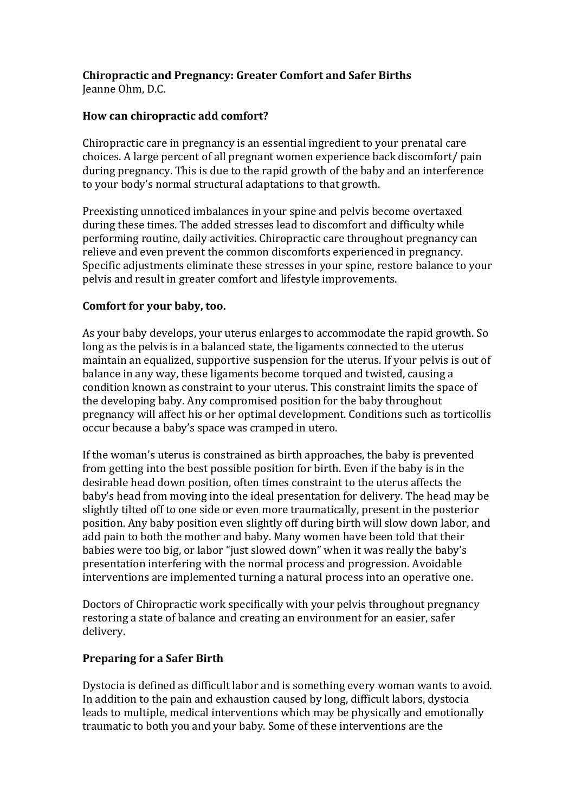## **Chiropractic and Pregnancy: Greater Comfort and Safer Births**

Jeanne Ohm, D.C.

## How can chiropractic add comfort?

Chiropractic care in pregnancy is an essential ingredient to your prenatal care choices. A large percent of all pregnant women experience back discomfort/ pain during pregnancy. This is due to the rapid growth of the baby and an interference to your body's normal structural adaptations to that growth.

Preexisting unnoticed imbalances in your spine and pelvis become overtaxed during these times. The added stresses lead to discomfort and difficulty while performing routine, daily activities. Chiropractic care throughout pregnancy can relieve and even prevent the common discomforts experienced in pregnancy. Specific adjustments eliminate these stresses in your spine, restore balance to your pelvis and result in greater comfort and lifestyle improvements.

## Comfort for your baby, too.

As your baby develops, your uterus enlarges to accommodate the rapid growth. So long as the pelvis is in a balanced state, the ligaments connected to the uterus maintain an equalized, supportive suspension for the uterus. If your pelvis is out of balance in any way, these ligaments become torqued and twisted, causing a condition known as constraint to your uterus. This constraint limits the space of the developing baby. Any compromised position for the baby throughout pregnancy will affect his or her optimal development. Conditions such as torticollis occur because a baby's space was cramped in utero.

If the woman's uterus is constrained as birth approaches, the baby is prevented from getting into the best possible position for birth. Even if the baby is in the desirable head down position, often times constraint to the uterus affects the baby's head from moving into the ideal presentation for delivery. The head may be slightly tilted off to one side or even more traumatically, present in the posterior position. Any baby position even slightly off during birth will slow down labor, and add pain to both the mother and baby. Many women have been told that their babies were too big, or labor "just slowed down" when it was really the baby's presentation interfering with the normal process and progression. Avoidable interventions are implemented turning a natural process into an operative one.

Doctors of Chiropractic work specifically with your pelvis throughout pregnancy restoring a state of balance and creating an environment for an easier, safer delivery.

## **Preparing for a Safer Birth**

Dystocia is defined as difficult labor and is something every woman wants to avoid. In addition to the pain and exhaustion caused by long, difficult labors, dystocia leads to multiple, medical interventions which may be physically and emotionally traumatic to both you and your baby. Some of these interventions are the